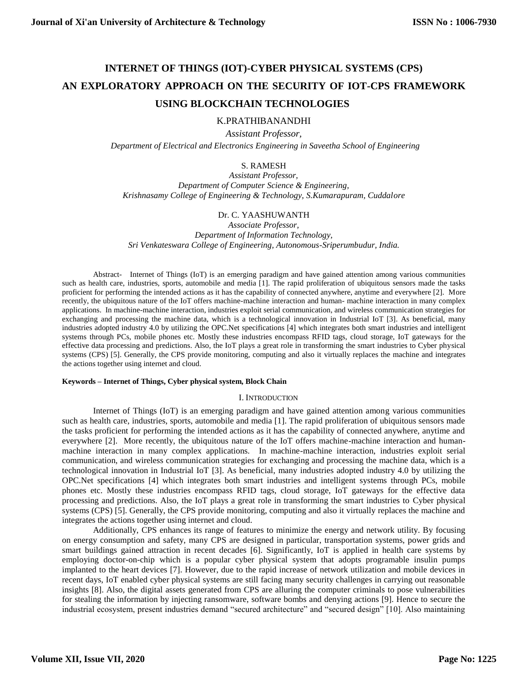# **INTERNET OF THINGS (IOT)-CYBER PHYSICAL SYSTEMS (CPS) AN EXPLORATORY APPROACH ON THE SECURITY OF IOT-CPS FRAMEWORK USING BLOCKCHAIN TECHNOLOGIES**

## K.PRATHIBANANDHI

*Assistant Professor,*

 *Department of Electrical and Electronics Engineering in Saveetha School of Engineering*

## S. RAMESH

*Assistant Professor, Department of Computer Science & Engineering, Krishnasamy College of Engineering & Technology, S.Kumarapuram, Cuddalore*

# Dr. C. YAASHUWANTH

*Associate Professor, Department of Information Technology, Sri Venkateswara College of Engineering, Autonomous-Sriperumbudur, India.*

Abstract- Internet of Things (IoT) is an emerging paradigm and have gained attention among various communities such as health care, industries, sports, automobile and media [1]. The rapid proliferation of ubiquitous sensors made the tasks proficient for performing the intended actions as it has the capability of connected anywhere, anytime and everywhere [2]. More recently, the ubiquitous nature of the IoT offers machine-machine interaction and human- machine interaction in many complex applications. In machine-machine interaction, industries exploit serial communication, and wireless communication strategies for exchanging and processing the machine data, which is a technological innovation in Industrial IoT [3]. As beneficial, many industries adopted industry 4.0 by utilizing the OPC.Net specifications [4] which integrates both smart industries and intelligent systems through PCs, mobile phones etc. Mostly these industries encompass RFID tags, cloud storage, IoT gateways for the effective data processing and predictions. Also, the IoT plays a great role in transforming the smart industries to Cyber physical systems (CPS) [5]. Generally, the CPS provide monitoring, computing and also it virtually replaces the machine and integrates the actions together using internet and cloud.

#### **Keywords – Internet of Things, Cyber physical system, Block Chain**

#### I. INTRODUCTION

Internet of Things (IoT) is an emerging paradigm and have gained attention among various communities such as health care, industries, sports, automobile and media [1]. The rapid proliferation of ubiquitous sensors made the tasks proficient for performing the intended actions as it has the capability of connected anywhere, anytime and everywhere [2]. More recently, the ubiquitous nature of the IoT offers machine-machine interaction and humanmachine interaction in many complex applications. In machine-machine interaction, industries exploit serial communication, and wireless communication strategies for exchanging and processing the machine data, which is a technological innovation in Industrial IoT [3]. As beneficial, many industries adopted industry 4.0 by utilizing the OPC.Net specifications [4] which integrates both smart industries and intelligent systems through PCs, mobile phones etc. Mostly these industries encompass RFID tags, cloud storage, IoT gateways for the effective data processing and predictions. Also, the IoT plays a great role in transforming the smart industries to Cyber physical systems (CPS) [5]. Generally, the CPS provide monitoring, computing and also it virtually replaces the machine and integrates the actions together using internet and cloud.

Additionally, CPS enhances its range of features to minimize the energy and network utility. By focusing on energy consumption and safety, many CPS are designed in particular, transportation systems, power grids and smart buildings gained attraction in recent decades [6]. Significantly, IoT is applied in health care systems by employing doctor-on-chip which is a popular cyber physical system that adopts programable insulin pumps implanted to the heart devices [7]. However, due to the rapid increase of network utilization and mobile devices in recent days, IoT enabled cyber physical systems are still facing many security challenges in carrying out reasonable insights [8]. Also, the digital assets generated from CPS are alluring the computer criminals to pose vulnerabilities for stealing the information by injecting ransomware, software bombs and denying actions [9]. Hence to secure the industrial ecosystem, present industries demand "secured architecture" and "secured design" [10]. Also maintaining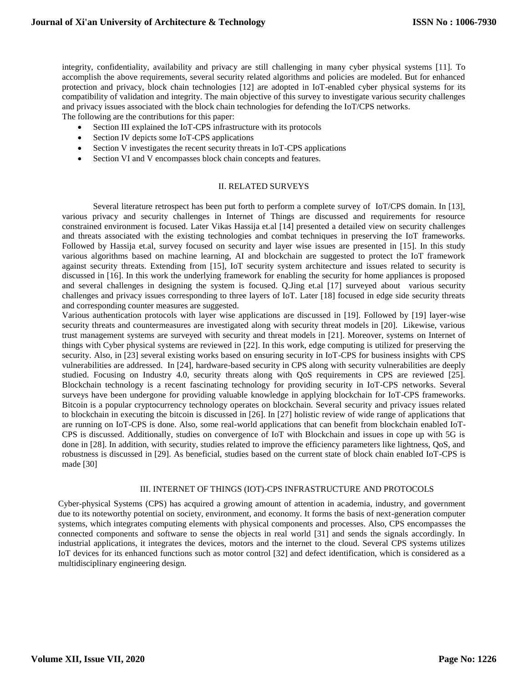integrity, confidentiality, availability and privacy are still challenging in many cyber physical systems [11]. To accomplish the above requirements, several security related algorithms and policies are modeled. But for enhanced protection and privacy, block chain technologies [12] are adopted in IoT-enabled cyber physical systems for its compatibility of validation and integrity. The main objective of this survey to investigate various security challenges and privacy issues associated with the block chain technologies for defending the IoT/CPS networks.

The following are the contributions for this paper:

- Section III explained the IoT-CPS infrastructure with its protocols
- Section IV depicts some IoT-CPS applications
- Section V investigates the recent security threats in IoT-CPS applications
- Section VI and V encompasses block chain concepts and features.

#### II. RELATED SURVEYS

Several literature retrospect has been put forth to perform a complete survey of IoT/CPS domain. In [13], various privacy and security challenges in Internet of Things are discussed and requirements for resource constrained environment is focused. Later Vikas Hassija et.al [14] presented a detailed view on security challenges and threats associated with the existing technologies and combat techniques in preserving the IoT frameworks. Followed by Hassija et.al, survey focused on security and layer wise issues are presented in [15]. In this study various algorithms based on machine learning, AI and blockchain are suggested to protect the IoT framework against security threats. Extending from [15], IoT security system architecture and issues related to security is discussed in [16]. In this work the underlying framework for enabling the security for home appliances is proposed and several challenges in designing the system is focused. Q.Jing et.al [17] surveyed about various security challenges and privacy issues corresponding to three layers of IoT. Later [18] focused in edge side security threats and corresponding counter measures are suggested.

Various authentication protocols with layer wise applications are discussed in [19]. Followed by [19] layer-wise security threats and countermeasures are investigated along with security threat models in [20]. Likewise, various trust management systems are surveyed with security and threat models in [21]. Moreover, systems on Internet of things with Cyber physical systems are reviewed in [22]. In this work, edge computing is utilized for preserving the security. Also, in [23] several existing works based on ensuring security in IoT-CPS for business insights with CPS vulnerabilities are addressed. In [24], hardware-based security in CPS along with security vulnerabilities are deeply studied. Focusing on Industry 4.0, security threats along with QoS requirements in CPS are reviewed [25]. Blockchain technology is a recent fascinating technology for providing security in IoT-CPS networks. Several surveys have been undergone for providing valuable knowledge in applying blockchain for IoT-CPS frameworks. Bitcoin is a popular cryptocurrency technology operates on blockchain. Several security and privacy issues related to blockchain in executing the bitcoin is discussed in [26]. In [27] holistic review of wide range of applications that are running on IoT-CPS is done. Also, some real-world applications that can benefit from blockchain enabled IoT-CPS is discussed. Additionally, studies on convergence of IoT with Blockchain and issues in cope up with 5G is done in [28]. In addition, with security, studies related to improve the efficiency parameters like lightness, QoS, and robustness is discussed in [29]. As beneficial, studies based on the current state of block chain enabled IoT-CPS is made [30]

#### III. INTERNET OF THINGS (IOT)-CPS INFRASTRUCTURE AND PROTOCOLS

Cyber-physical Systems (CPS) has acquired a growing amount of attention in academia, industry, and government due to its noteworthy potential on society, environment, and economy. It forms the basis of next-generation computer systems, which integrates computing elements with physical components and processes. Also, CPS encompasses the connected components and software to sense the objects in real world [31] and sends the signals accordingly. In industrial applications, it integrates the devices, motors and the internet to the cloud. Several CPS systems utilizes IoT devices for its enhanced functions such as motor control [32] and defect identification, which is considered as a multidisciplinary engineering design.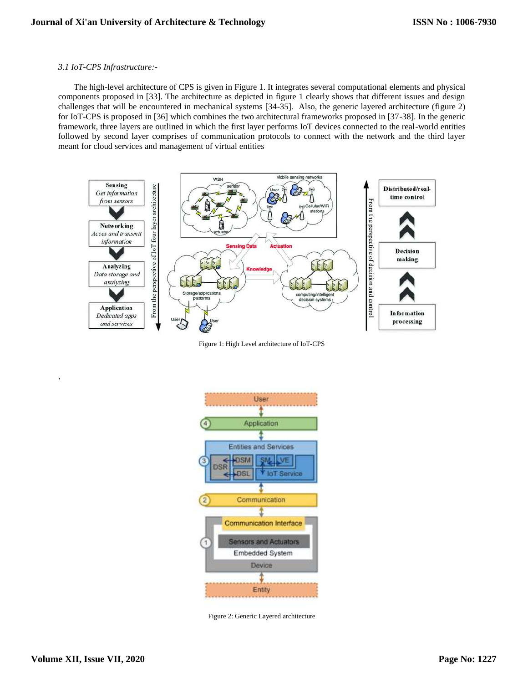## *3.1 IoT-CPS Infrastructure:-*

The high-level architecture of CPS is given in Figure 1. It integrates several computational elements and physical components proposed in [33]. The architecture as depicted in figure 1 clearly shows that different issues and design challenges that will be encountered in mechanical systems [34-35]. Also, the generic layered architecture (figure 2) for IoT-CPS is proposed in [36] which combines the two architectural frameworks proposed in [37-38]. In the generic framework, three layers are outlined in which the first layer performs IoT devices connected to the real-world entities followed by second layer comprises of communication protocols to connect with the network and the third layer meant for cloud services and management of virtual entities



Figure 1: High Level architecture of IoT-CPS



Figure 2: Generic Layered architecture

.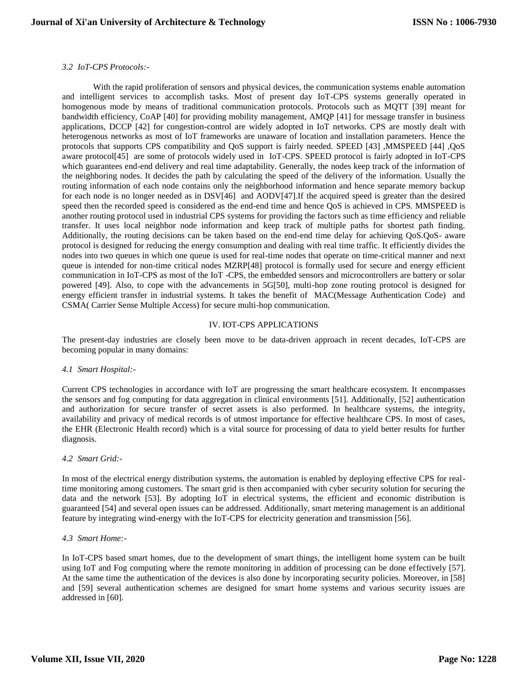## *3.2 IoT-CPS Protocols:-*

With the rapid proliferation of sensors and physical devices, the communication systems enable automation and intelligent services to accomplish tasks. Most of present day IoT-CPS systems generally operated in homogenous mode by means of traditional communication protocols. Protocols such as MQTT [39] meant for bandwidth efficiency, CoAP [40] for providing mobility management, AMQP [41] for message transfer in business applications, DCCP [42] for congestion-control are widely adopted in IoT networks. CPS are mostly dealt with heterogenous networks as most of IoT frameworks are unaware of location and installation parameters. Hence the protocols that supports CPS compatibility and QoS support is fairly needed. SPEED [43] ,MMSPEED [44] ,QoS aware protocol[45] are some of protocols widely used in IoT-CPS. SPEED protocol is fairly adopted in IoT-CPS which guarantees end-end delivery and real time adaptability. Generally, the nodes keep track of the information of the neighboring nodes. It decides the path by calculating the speed of the delivery of the information. Usually the routing information of each node contains only the neighborhood information and hence separate memory backup for each node is no longer needed as in DSV[46] and AODV[47].If the acquired speed is greater than the desired speed then the recorded speed is considered as the end-end time and hence QoS is achieved in CPS. MMSPEED is another routing protocol used in industrial CPS systems for providing the factors such as time efficiency and reliable transfer. It uses local neighbor node information and keep track of multiple paths for shortest path finding. Additionally, the routing decisions can be taken based on the end-end time delay for achieving QoS.QoS- aware protocol is designed for reducing the energy consumption and dealing with real time traffic. It efficiently divides the nodes into two queues in which one queue is used for real-time nodes that operate on time-critical manner and next queue is intended for non-time critical nodes MZRP[48] protocol is formally used for secure and energy efficient communication in IoT-CPS as most of the IoT -CPS, the embedded sensors and microcontrollers are battery or solar powered [49]. Also, to cope with the advancements in 5G[50], multi-hop zone routing protocol is designed for energy efficient transfer in industrial systems. It takes the benefit of MAC(Message Authentication Code) and CSMA( Carrier Sense Multiple Access) for secure multi-hop communication.

## IV. IOT-CPS APPLICATIONS

The present-day industries are closely been move to be data-driven approach in recent decades, IoT-CPS are becoming popular in many domains:

#### *4.1 Smart Hospital:-*

Current CPS technologies in accordance with IoT are progressing the smart healthcare ecosystem. It encompasses the sensors and fog computing for data aggregation in clinical environments [51]. Additionally, [52] authentication and authorization for secure transfer of secret assets is also performed. In healthcare systems, the integrity, availability and privacy of medical records is of utmost importance for effective healthcare CPS. In most of cases, the EHR (Electronic Health record) which is a vital source for processing of data to yield better results for further diagnosis.

#### *4.2 Smart Grid:-*

In most of the electrical energy distribution systems, the automation is enabled by deploying effective CPS for realtime monitoring among customers. The smart grid is then accompanied with cyber security solution for securing the data and the network [53]. By adopting IoT in electrical systems, the efficient and economic distribution is guaranteed [54] and several open issues can be addressed. Additionally, smart metering management is an additional feature by integrating wind-energy with the IoT-CPS for electricity generation and transmission [56].

#### *4.3 Smart Home:-*

In IoT-CPS based smart homes, due to the development of smart things, the intelligent home system can be built using IoT and Fog computing where the remote monitoring in addition of processing can be done effectively [57]. At the same time the authentication of the devices is also done by incorporating security policies. Moreover, in [58] and [59] several authentication schemes are designed for smart home systems and various security issues are addressed in [60].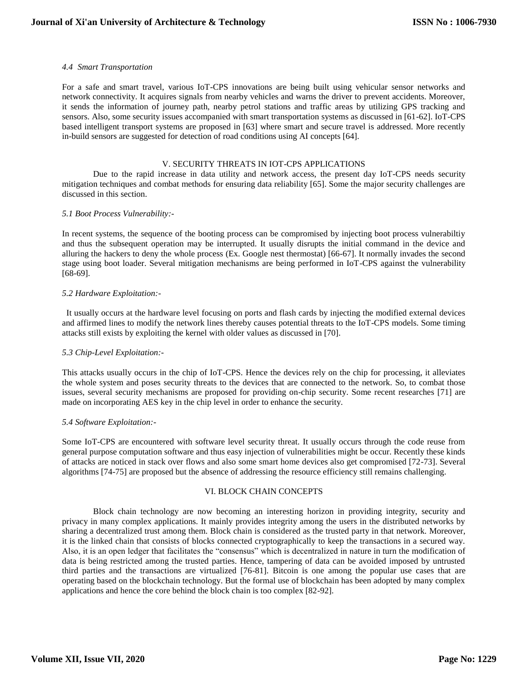## *4.4 Smart Transportation*

For a safe and smart travel, various IoT-CPS innovations are being built using vehicular sensor networks and network connectivity. It acquires signals from nearby vehicles and warns the driver to prevent accidents. Moreover, it sends the information of journey path, nearby petrol stations and traffic areas by utilizing GPS tracking and sensors. Also, some security issues accompanied with smart transportation systems as discussed in [61-62]. IoT-CPS based intelligent transport systems are proposed in [63] where smart and secure travel is addressed. More recently in-build sensors are suggested for detection of road conditions using AI concepts [64].

#### V. SECURITY THREATS IN IOT-CPS APPLICATIONS

Due to the rapid increase in data utility and network access, the present day IoT-CPS needs security mitigation techniques and combat methods for ensuring data reliability [65]. Some the major security challenges are discussed in this section.

#### *5.1 Boot Process Vulnerability:-*

In recent systems, the sequence of the booting process can be compromised by injecting boot process vulnerabiltiy and thus the subsequent operation may be interrupted. It usually disrupts the initial command in the device and alluring the hackers to deny the whole process (Ex. Google nest thermostat) [66-67]. It normally invades the second stage using boot loader. Several mitigation mechanisms are being performed in IoT-CPS against the vulnerability [68-69].

## *5.2 Hardware Exploitation:-*

 It usually occurs at the hardware level focusing on ports and flash cards by injecting the modified external devices and affirmed lines to modify the network lines thereby causes potential threats to the IoT-CPS models. Some timing attacks still exists by exploiting the kernel with older values as discussed in [70].

## *5.3 Chip-Level Exploitation:-*

This attacks usually occurs in the chip of IoT-CPS. Hence the devices rely on the chip for processing, it alleviates the whole system and poses security threats to the devices that are connected to the network. So, to combat those issues, several security mechanisms are proposed for providing on-chip security. Some recent researches [71] are made on incorporating AES key in the chip level in order to enhance the security.

#### *5.4 Software Exploitation:-*

Some IoT-CPS are encountered with software level security threat. It usually occurs through the code reuse from general purpose computation software and thus easy injection of vulnerabilities might be occur. Recently these kinds of attacks are noticed in stack over flows and also some smart home devices also get compromised [72-73]. Several algorithms [74-75] are proposed but the absence of addressing the resource efficiency still remains challenging.

## VI. BLOCK CHAIN CONCEPTS

Block chain technology are now becoming an interesting horizon in providing integrity, security and privacy in many complex applications. It mainly provides integrity among the users in the distributed networks by sharing a decentralized trust among them. Block chain is considered as the trusted party in that network. Moreover, it is the linked chain that consists of blocks connected cryptographically to keep the transactions in a secured way. Also, it is an open ledger that facilitates the "consensus" which is decentralized in nature in turn the modification of data is being restricted among the trusted parties. Hence, tampering of data can be avoided imposed by untrusted third parties and the transactions are virtualized [76-81]. Bitcoin is one among the popular use cases that are operating based on the blockchain technology. But the formal use of blockchain has been adopted by many complex applications and hence the core behind the block chain is too complex [82-92].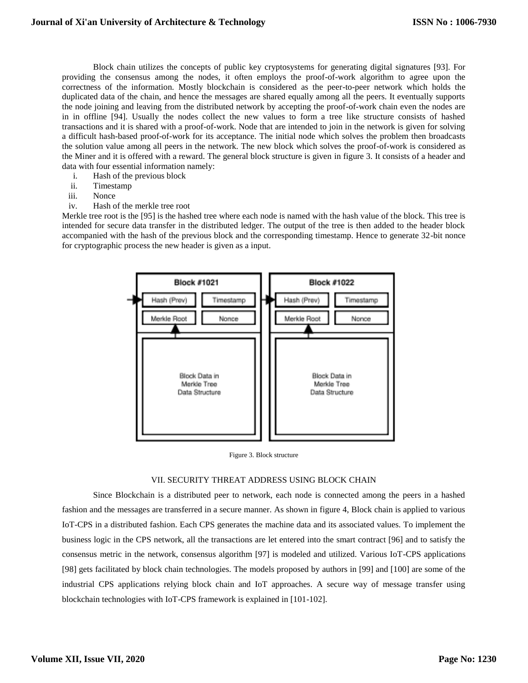Block chain utilizes the concepts of public key cryptosystems for generating digital signatures [93]. For providing the consensus among the nodes, it often employs the proof-of-work algorithm to agree upon the correctness of the information. Mostly blockchain is considered as the peer-to-peer network which holds the duplicated data of the chain, and hence the messages are shared equally among all the peers. It eventually supports the node joining and leaving from the distributed network by accepting the proof-of-work chain even the nodes are in in offline [94]. Usually the nodes collect the new values to form a tree like structure consists of hashed transactions and it is shared with a proof-of-work. Node that are intended to join in the network is given for solving a difficult hash-based proof-of-work for its acceptance. The initial node which solves the problem then broadcasts the solution value among all peers in the network. The new block which solves the proof-of-work is considered as the Miner and it is offered with a reward. The general block structure is given in figure 3. It consists of a header and data with four essential information namely:

- i. Hash of the previous block
- ii. Timestamp
- iii. Nonce
- iv. Hash of the merkle tree root

Merkle tree root is the [95] is the hashed tree where each node is named with the hash value of the block. This tree is intended for secure data transfer in the distributed ledger. The output of the tree is then added to the header block accompanied with the hash of the previous block and the corresponding timestamp. Hence to generate 32-bit nonce for cryptographic process the new header is given as a input.



Figure 3. Block structure

#### VII. SECURITY THREAT ADDRESS USING BLOCK CHAIN

Since Blockchain is a distributed peer to network, each node is connected among the peers in a hashed fashion and the messages are transferred in a secure manner. As shown in figure 4, Block chain is applied to various IoT-CPS in a distributed fashion. Each CPS generates the machine data and its associated values. To implement the business logic in the CPS network, all the transactions are let entered into the smart contract [96] and to satisfy the consensus metric in the network, consensus algorithm [97] is modeled and utilized. Various IoT-CPS applications [98] gets facilitated by block chain technologies. The models proposed by authors in [99] and [100] are some of the industrial CPS applications relying block chain and IoT approaches. A secure way of message transfer using blockchain technologies with IoT-CPS framework is explained in [101-102].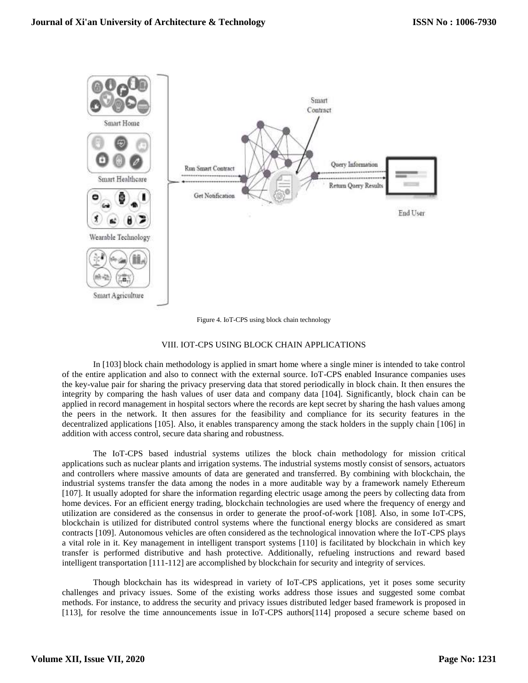

Figure 4. IoT-CPS using block chain technology

## VIII. IOT-CPS USING BLOCK CHAIN APPLICATIONS

In [103] block chain methodology is applied in smart home where a single miner is intended to take control of the entire application and also to connect with the external source. IoT-CPS enabled Insurance companies uses the key-value pair for sharing the privacy preserving data that stored periodically in block chain. It then ensures the integrity by comparing the hash values of user data and company data [104]. Significantly, block chain can be applied in record management in hospital sectors where the records are kept secret by sharing the hash values among the peers in the network. It then assures for the feasibility and compliance for its security features in the decentralized applications [105]. Also, it enables transparency among the stack holders in the supply chain [106] in addition with access control, secure data sharing and robustness.

The IoT-CPS based industrial systems utilizes the block chain methodology for mission critical applications such as nuclear plants and irrigation systems. The industrial systems mostly consist of sensors, actuators and controllers where massive amounts of data are generated and transferred. By combining with blockchain, the industrial systems transfer the data among the nodes in a more auditable way by a framework namely Ethereum [107]. It usually adopted for share the information regarding electric usage among the peers by collecting data from home devices. For an efficient energy trading, blockchain technologies are used where the frequency of energy and utilization are considered as the consensus in order to generate the proof-of-work [108]. Also, in some IoT-CPS, blockchain is utilized for distributed control systems where the functional energy blocks are considered as smart contracts [109]. Autonomous vehicles are often considered as the technological innovation where the IoT-CPS plays a vital role in it. Key management in intelligent transport systems [110] is facilitated by blockchain in which key transfer is performed distributive and hash protective. Additionally, refueling instructions and reward based intelligent transportation [111-112] are accomplished by blockchain for security and integrity of services.

Though blockchain has its widespread in variety of IoT-CPS applications, yet it poses some security challenges and privacy issues. Some of the existing works address those issues and suggested some combat methods. For instance, to address the security and privacy issues distributed ledger based framework is proposed in [113], for resolve the time announcements issue in IoT-CPS authors[114] proposed a secure scheme based on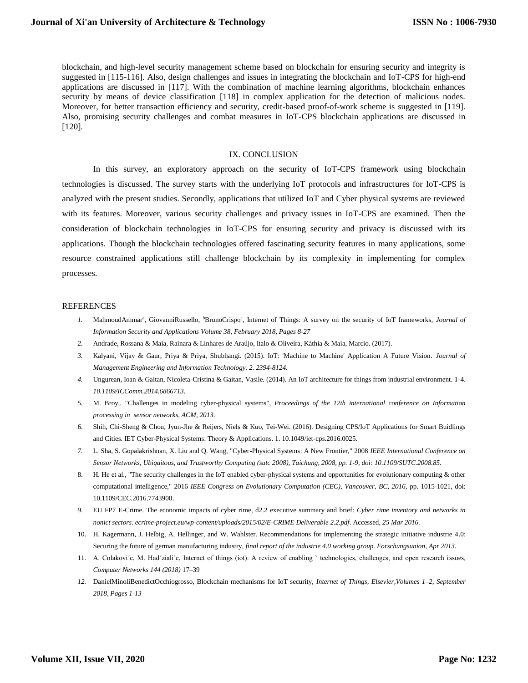blockchain, and high-level security management scheme based on blockchain for ensuring security and integrity is suggested in [115-116]. Also, design challenges and issues in integrating the blockchain and IoT-CPS for high-end applications are discussed in [117]. With the combination of machine learning algorithms, blockchain enhances security by means of device classification [118] in complex application for the detection of malicious nodes. Moreover, for better transaction efficiency and security, credit-based proof-of-work scheme is suggested in [119]. Also, promising security challenges and combat measures in IoT-CPS blockchain applications are discussed in [120].

#### IX. CONCLUSION

In this survey, an exploratory approach on the security of IoT-CPS framework using blockchain technologies is discussed. The survey starts with the underlying IoT protocols and infrastructures for IoT-CPS is analyzed with the present studies. Secondly, applications that utilized IoT and Cyber physical systems are reviewed with its features. Moreover, various security challenges and privacy issues in IoT-CPS are examined. Then the consideration of blockchain technologies in IoT-CPS for ensuring security and privacy is discussed with its applications. Though the blockchain technologies offered fascinating security features in many applications, some resource constrained applications still challenge blockchain by its complexity in implementing for complex processes.

#### REFERENCES

- 1. MahmoudAmmar<sup>a</sup>, [GiovanniRussello,](about:blank#!) <sup>b</sup>BrunoCrispo<sup>a</sup>, Internet of Things: A survey on the security of IoT frameworks, *Journal of [Information Security and Applications](about:blank) [Volume 38,](about:blank) February 2018, Pages 8-27*
- *2.* Andrade, Rossana & Maia, Rainara & Linhares de Araújo, Italo & Oliveira, Káthia & Maia, Marcio. (2017).
- *3.* Kalyani, Vijay & Gaur, Priya & Priya, Shubhangi. (2015). IoT: 'Machine to Machine' Application A Future Vision. *Journal of Management Engineering and Information Technology. 2. 2394-8124.*
- *4.* Ungurean, Ioan & Gaitan, Nicoleta-Cristina & Gaitan, Vasile. (2014). An IoT architecture for things from industrial environment. 1-4. *10.1109/ICComm.2014.6866713.*
- *5.* M. Broy,. "Challenges in modeling cyber-physical systems", *Proceedings of the 12th international conference on Information processing in sensor networks, ACM, 2013.*
- 6. Shih, Chi-Sheng & Chou, Jyun-Jhe & Reijers, Niels & Kuo, Tei-Wei. (2016). Designing CPS/IoT Applications for Smart Buidlings and Cities. IET Cyber-Physical Systems: Theory & Applications. 1. 10.1049/iet-cps.2016.0025.
- *7.* L. Sha, S. Gopalakrishnan, X. Liu and Q. Wang, "Cyber-Physical Systems: A New Frontier," 2008 *IEEE International Conference on Sensor Networks, Ubiquitous, and Trustworthy Computing (sutc 2008), Taichung, 2008, pp. 1-9, doi: 10.1109/SUTC.2008.85.*
- 8. H. He et al., "The security challenges in the IoT enabled cyber-physical systems and opportunities for evolutionary computing & other computational intelligence," 2016 *IEEE Congress on Evolutionary Computation (CEC), Vancouver, BC, 2016,* pp. 1015-1021, doi: 10.1109/CEC.2016.7743900.
- 9. EU FP7 E-Crime. The economic impacts of cyber rime, d2.2 executive summary and brief: *Cyber rime inventory and networks in nonict sectors. ecrime-project.eu/wp-content/uploads/2015/02/E-CRIME Deliverable 2.2.pdf*. Accessed, *25 Mar 2016.*
- 10. H. Kagermann, J. Helbig, A. Hellinger, and W. Wahlster. Recommendations for implementing the strategic initiative industrie 4.0: Securing the future of german manufacturing industry, *final report of the industrie 4.0 working group. Forschungsunion*, *Apr 2013*.
- 11. A. Colakovi´c, M. Had´ziali´c, Internet of things (iot): A review of enabling vtechnologies, challenges, and open research issues, *Computer Networks 144 (2018)* 17–39
- *12.* DanielMinoliBenedictOcchiogrosso, Blockchain mechanisms for IoT security, *Internet of Things, Elsevier,Volumes 1–2, September 2018, Pages 1-13*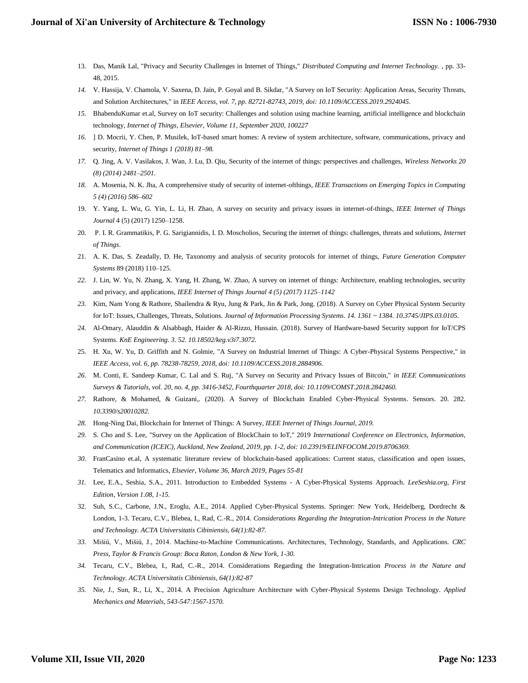- 13. Das, Manik Lal, "Privacy and Security Challenges in Internet of Things," *Distributed Computing and Internet Technology.* , pp. 33- 48, 2015.
- *14.* V. Hassija, V. Chamola, V. Saxena, D. Jain, P. Goyal and B. Sikdar, "A Survey on IoT Security: Application Areas, Security Threats, and Solution Architectures," in *IEEE Access, vol. 7, pp. 82721-82743, 2019, doi: 10.1109/ACCESS.2019.2924045.*
- *15.* BhabenduKumar et.al, Survey on IoT security: Challenges and solution using machine learning, artificial intelligence and blockchain technology*[, Internet of Things,](about:blank) Elsevier[, Volume 11,](about:blank) September 2020, 100227*
- *16.* ] D. Mocrii, Y. Chen, P. Musilek, IoT-based smart homes: A review of system architecture, software, communications, privacy and security, *Internet of Things 1 (2018) 81–98.*
- *17.* Q. Jing, A. V. Vasilakos, J. Wan, J. Lu, D. Qiu, Security of the internet of things: perspectives and challenges, *Wireless Networks 20 (8) (2014) 2481–2501.*
- *18.* A. Mosenia, N. K. Jha, A comprehensive study of security of internet-ofthings, *IEEE Transactions on Emerging Topics in Computing 5 (4) (2016) 586–602*
- 19. Y. Yang, L. Wu, G. Yin, L. Li, H. Zhao, A survey on security and privacy issues in internet-of-things*, IEEE Internet of Things Journal* 4 (5) (2017) 1250–1258.
- 20. P. I. R. Grammatikis, P. G. Sarigiannidis, I. D. Moscholios, Securing the internet of things: challenges, threats and solutions, *Internet of Things*.
- 21. A. K. Das, S. Zeadally, D. He, Taxonomy and analysis of security protocols for internet of things, *Future Generation Computer Systems* 89 (2018) 110–125.
- *22.* J. Lin, W. Yu, N. Zhang, X. Yang, H. Zhang, W. Zhao, A survey on internet of things: Architecture, enabling technologies, security and privacy, and applications, *IEEE Internet of Things Journal 4 (5) (2017) 1125–1142*
- *23.* Kim, Nam Yong & Rathore, Shailendra & Ryu, Jung & Park, Jin & Park, Jong. (2018). A Survey on Cyber Physical System Security for IoT: Issues, Challenges, Threats, Solutions. *Journal of Information Processing Systems. 14. 1361 ~ 1384. 10.3745/JIPS.03.0105.*
- *24.* Al-Omary, Alauddin & Alsabbagh, Haider & Al-Rizzo, Hussain. (2018). Survey of Hardware-based Security support for IoT/CPS Systems. *KnE Engineering. 3. 52. 10.18502/keg.v3i7.3072.*
- 25. H. Xu, W. Yu, D. Griffith and N. Golmie, "A Survey on Industrial Internet of Things: A Cyber-Physical Systems Perspective," in *IEEE Access, vol. 6, pp. 78238-78259, 2018, doi: 10.1109/ACCESS.2018.2884906.*
- *26.* M. Conti, E. Sandeep Kumar, C. Lal and S. Ruj, "A Survey on Security and Privacy Issues of Bitcoin," *in IEEE Communications Surveys & Tutorials, vol. 20, no. 4, pp. 3416-3452, Fourthquarter 2018, doi: 10.1109/COMST.2018.2842460.*
- *27.* Rathore, & Mohamed, & Guizani,. (2020). A Survey of Blockchain Enabled Cyber-Physical Systems. Sensors. 20. 282. *10.3390/s20010282.*
- *28.* Hong-Ning Dai, Blockchain for Internet of Things: A Survey, *IEEE Internet of Things Journal, 2019.*
- *29.* S. Cho and S. Lee, "Survey on the Application of BlockChain to IoT," 2019 *International Conference on Electronics, Information, and Communication (ICEIC), Auckland, New Zealand, 2019, pp. 1-2, doi: 10.23919/ELINFOCOM.2019.8706369.*
- *30.* FranCasino et.al, A systematic literature review of blockchain-based applications: Current status, classification and open issues, Telematics and Informatics, *Elsevier, Volume 36, March 2019, Pages 55-81*
- *31.* Lee, E.A., Seshia, S.A., 2011. Introduction to Embedded Systems A Cyber-Physical Systems Approach. *LeeSeshia.org, First Edition, Version 1.08, 1-15.*
- 32. Suh, S.C., Carbone, J.N., Eroglu, A.E., 2014. Applied Cyber-Physical Systems. Springer: New York, Heidelberg, Dordrecht & London, 1-3. Tecaru, C.V., Blebea, I., Rad, C.-R., 2014. *Considerations Regarding the Integration-Intrication Process in the Nature and Technology. ACTA Universitatis Cibiniensis, 64(1):82-87.*
- *33.* Mišiü, V., Mišiü, J., 2014. Machine-to-Machine Communications. Architectures, Technology, Standards, and Applications. *CRC Press, Taylor & Francis Group: Boca Raton, London & New York, 1-30.*
- *34.* Tecaru, C.V., Blebea, I., Rad, C.-R., 2014. Considerations Regarding the Integration-Intrication *Process in the Nature and Technology. ACTA Universitatis Cibiniensis, 64(1):82-87*
- *35.* Nie, J., Sun, R., Li, X., 2014. A Precision Agriculture Architecture with Cyber-Physical Systems Design Technology. *Applied Mechanics and Materials, 543-547:1567-1570.*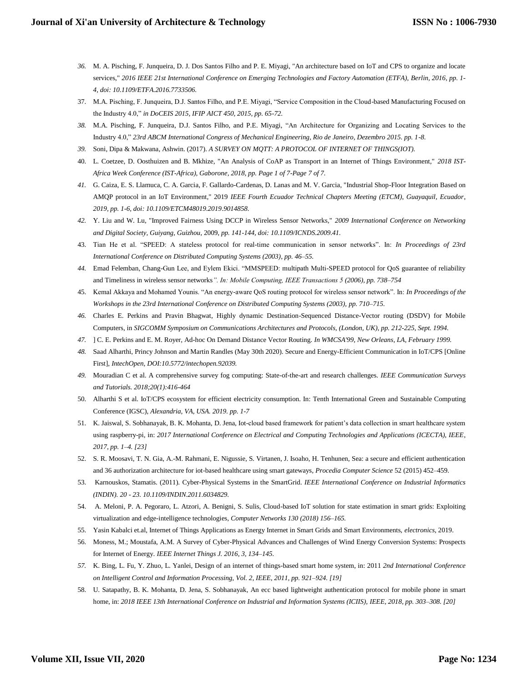- *36.* M. A. Pisching, F. Junqueira, D. J. Dos Santos Filho and P. E. Miyagi, "An architecture based on IoT and CPS to organize and locate services," *2016 IEEE 21st International Conference on Emerging Technologies and Factory Automation (ETFA), Berlin, 2016, pp. 1- 4, doi: 10.1109/ETFA.2016.7733506.*
- 37. M.A. Pisching, F. Junqueira, D.J. Santos Filho, and P.E. Miyagi, "Service Composition in the Cloud-based Manufacturing Focused on the Industry 4.0," *in DoCEIS 2015, IFIP AICT 450, 2015, pp. 65-72.*
- *38.* M.A. Pisching, F. Junqueira, D.J. Santos Filho, and P.E. Miyagi, "An Architecture for Organizing and Locating Services to the Industry 4.0," *23rd ABCM International Congress of Mechanical Engineering, Rio de Janeiro, Dezembro 2015. pp. 1-8.*
- *39.* Soni, Dipa & Makwana, Ashwin. (2017). *A SURVEY ON MQTT: A PROTOCOL OF INTERNET OF THINGS(IOT).*
- 40. L. Coetzee, D. Oosthuizen and B. Mkhize, "An Analysis of CoAP as Transport in an Internet of Things Environment," *2018 IST-Africa Week Conference (IST-Africa), Gaborone, 2018, pp. Page 1 of 7-Page 7 of 7.*
- *41.* G. Caiza, E. S. Llamuca, C. A. Garcia, F. Gallardo-Cardenas, D. Lanas and M. V. Garcia, "Industrial Shop-Floor Integration Based on AMQP protocol in an IoT Environment," 2019 *IEEE Fourth Ecuador Technical Chapters Meeting (ETCM), Guayaquil, Ecuador*, *2019, pp. 1-6, doi: 10.1109/ETCM48019.2019.9014858.*
- *42.* Y. Liu and W. Lu, "Improved Fairness Using DCCP in Wireless Sensor Networks," *2009 International Conference on Networking and Digital Society, Guiyang, Guizhou,* 2009, *pp. 141-144, doi: 10.1109/ICNDS.2009.41.*
- 43. Tian He et al. "SPEED: A stateless protocol for real-time communication in sensor networks". In: *In Proceedings of 23rd International Conference on Distributed Computing Systems (2003)*, *pp. 46–55.*
- *44.* Emad Felemban, Chang-Gun Lee, and Eylem Ekici. "MMSPEED: multipath Multi-SPEED protocol for QoS guarantee of reliability and Timeliness in wireless sensor networks*". In: Mobile Computing, IEEE Transactions 5 (2006), pp. 738–754*
- 45. Kemal Akkaya and Mohamed Younis. "An energy-aware QoS routing protocol for wireless sensor network". In: *In Proceedings of the Workshops in the 23rd International Conference on Distributed Computing Systems (2003), pp. 710–715.*
- *46.* Charles E. Perkins and Pravin Bhagwat, Highly dynamic Destination-Sequenced Distance-Vector routing (DSDV) for Mobile Computers, in *SIGCOMM Symposium on Communications Architectures and Protocols, (London, UK)*, *pp. 212-225, Sept. 1994.*
- *47.* ] C. E. Perkins and E. M. Royer, Ad-hoc On Demand Distance Vector Routing. *In WMCSA'99, New Orleans, LA, February 1999.*
- *48.* Saad Alharthi, Princy Johnson and Martin Randles (May 30th 2020). Secure and Energy-Efficient Communication in IoT/CPS [Online First], *IntechOpen, DOI:10.5772/intechopen.92039.*
- *49.* Mouradian C et al. A comprehensive survey fog computing: State-of-the-art and research challenges. *IEEE Communication Surveys and Tutorials. 2018;20(1):416-464*
- 50. Alharthi S et al. IoT/CPS ecosystem for efficient electricity consumption. In: Tenth International Green and Sustainable Computing Conference (IGSC), *Alexandria, VA, USA. 2019. pp. 1-7*
- 51. K. Jaiswal, S. Sobhanayak, B. K. Mohanta, D. Jena, Iot-cloud based framework for patient's data collection in smart healthcare system using raspberry-pi, in: *2017 International Conference on Electrical and Computing Technologies and Applications (ICECTA), IEEE*, *2017, pp. 1–4. [23]*
- 52. S. R. Moosavi, T. N. Gia, A.-M. Rahmani, E. Nigussie, S. Virtanen, J. Isoaho, H. Tenhunen, Sea: a secure and efficient authentication and 36 authorization architecture for iot-based healthcare using smart gateways*, Procedia Computer Science* 52 (2015) 452–459.
- 53. Karnouskos, Stamatis. (2011). Cyber-Physical Systems in the SmartGrid. *IEEE International Conference on Industrial Informatics (INDIN). 20 - 23. 10.1109/INDIN.2011.6034829.*
- 54. A. Meloni, P. A. Pegoraro, L. Atzori, A. Benigni, S. Sulis, Cloud-based IoT solution for state estimation in smart grids: Exploiting virtualization and edge-intelligence technologies*, Computer Networks 130 (2018) 156–165.*
- 55. Yasin Kabalci et.al, Internet of Things Applications as Energy Internet in Smart Grids and Smart Environments, *electronics*, 2019.
- 56. Moness, M.; Moustafa, A.M. A Survey of Cyber-Physical Advances and Challenges of Wind Energy Conversion Systems: Prospects for Internet of Energy. *IEEE Internet Things J. 2016, 3, 134–145.*
- *57.* K. Bing, L. Fu, Y. Zhuo, L. Yanlei, Design of an internet of things-based smart home system, in: 2011 *2nd International Conference on Intelligent Control and Information Processing, Vol. 2, IEEE, 2011, pp. 921–924. [19]*
- 58. U. Satapathy, B. K. Mohanta, D. Jena, S. Sobhanayak, An ecc based lightweight authentication protocol for mobile phone in smart home, in: *2018 IEEE 13th International Conference on Industrial and Information Systems (ICIIS), IEEE, 2018, pp. 303–308. [20]*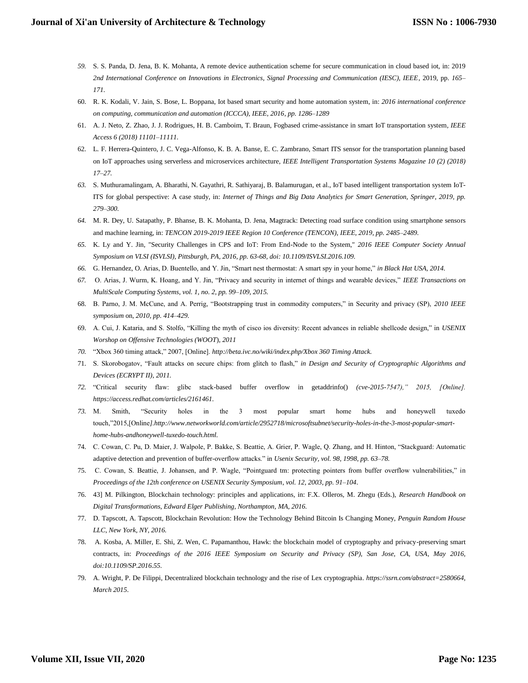- *59.* S. S. Panda, D. Jena, B. K. Mohanta, A remote device authentication scheme for secure communication in cloud based iot, in: 2019 *2nd International Conference on Innovations in Electronics, Signal Processing and Communication (IESC), IEEE*, 2019, pp. *165– 171.*
- 60. R. K. Kodali, V. Jain, S. Bose, L. Boppana, Iot based smart security and home automation system, in: *2016 international conference on computing, communication and automation (ICCCA), IEEE, 2016*, *pp. 1286–1289*
- 61. A. J. Neto, Z. Zhao, J. J. Rodrigues, H. B. Camboim, T. Braun, Fogbased crime-assistance in smart IoT transportation system*, IEEE Access 6 (2018) 11101–11111.*
- 62. L. F. Herrera-Quintero, J. C. Vega-Alfonso, K. B. A. Banse, E. C. Zambrano, Smart ITS sensor for the transportation planning based on IoT approaches using serverless and microservices architecture, *IEEE Intelligent Transportation Systems Magazine 10 (2) (2018) 17–27.*
- *63.* S. Muthuramalingam, A. Bharathi, N. Gayathri, R. Sathiyaraj, B. Balamurugan, et al., IoT based intelligent transportation system IoT-ITS for global perspective: A case study, in: *Internet of Things and Big Data Analytics for Smart Generation, Springer, 2019, pp. 279–300.*
- *64.* M. R. Dey, U. Satapathy, P. Bhanse, B. K. Mohanta, D. Jena, Magtrack: Detecting road surface condition using smartphone sensors and machine learning, in: *TENCON 2019-2019 IEEE Region 10 Conference (TENCON), IEEE, 2019, pp. 2485–2489.*
- *65.* K. Ly and Y. Jin, "Security Challenges in CPS and IoT: From End-Node to the System," *2016 IEEE Computer Society Annual Symposium on VLSI (ISVLSI), Pittsburgh, PA, 2016, pp. 63-68, doi: 10.1109/ISVLSI.2016.109.*
- *66.* G. Hernandez, O. Arias, D. Buentello, and Y. Jin, "Smart nest thermostat: A smart spy in your home," *in Black Hat USA, 2014.*
- *67.* O. Arias, J. Wurm, K. Hoang, and Y. Jin, "Privacy and security in internet of things and wearable devices," *IEEE Transactions on MultiScale Computing Systems, vol. 1, no. 2, pp. 99–109, 2015.*
- 68. B. Parno, J. M. McCune, and A. Perrig, "Bootstrapping trust in commodity computers," in Security and privacy (SP), *2010 IEEE symposium* on, *2010, pp. 414–429.*
- 69. A. Cui, J. Kataria, and S. Stolfo, "Killing the myth of cisco ios diversity: Recent advances in reliable shellcode design," in *USENIX Worshop on Offensive Technologies (WOOT*), *2011*
- *70.* "Xbox 360 timing attack," 2007, [Online]. *http://beta.ivc.no/wiki/index.php/Xbox 360 Timing Attack.*
- 71. S. Skorobogatov, "Fault attacks on secure chips: from glitch to flash," *in Design and Security of Cryptographic Algorithms and Devices (ECRYPT II)*, *2011.*
- *72.* "Critical security flaw: glibc stack-based buffer overflow in getaddrinfo() *(cve-2015-7547)," 2015, [Online]. https://access.redhat.com/articles/2161461.*
- *73.* M. Smith, "Security holes in the 3 most popular smart home hubs and honeywell tuxedo touch,"2015,[Online*].http://www.networkworld.com/article/2952718/microsoftsubnet/security-holes-in-the-3-most-popular-smarthome-hubs-andhoneywell-tuxedo-touch.html.*
- 74. C. Cowan, C. Pu, D. Maier, J. Walpole, P. Bakke, S. Beattie, A. Grier, P. Wagle, Q. Zhang, and H. Hinton, "Stackguard: Automatic adaptive detection and prevention of buffer-overflow attacks." in *Usenix Security, vol. 98, 1998, pp. 63–78.*
- 75. C. Cowan, S. Beattie, J. Johansen, and P. Wagle, "Pointguard tm: protecting pointers from buffer overflow vulnerabilities," in *Proceedings of the 12th conference on USENIX Security Symposium*, *vol. 12, 2003, pp. 91–104*.
- 76. 43] M. Pilkington, Blockchain technology: principles and applications, in: F.X. Olleros, M. Zhegu (Eds.), *Research Handbook on Digital Transformations, Edward Elger Publishing, Northampton, MA, 2016.*
- 77. D. Tapscott, A. Tapscott, Blockchain Revolution: How the Technology Behind Bitcoin Is Changing Money, *Penguin Random House LLC*, *New York, NY, 2016.*
- 78. A. Kosba, A. Miller, E. Shi, Z. Wen, C. Papamanthou, Hawk: the blockchain model of cryptography and privacy-preserving smart contracts, in: *Proceedings of the 2016 IEEE Symposium on Security and Privacy (SP), San Jose, CA, USA*, *May 2016, doi:10.1109/SP.2016.55.*
- 79. A. Wright, P. De Filippi, Decentralized blockchain technology and the rise of Lex cryptographia*. https://ssrn.com/abstract=2580664, March 2015*.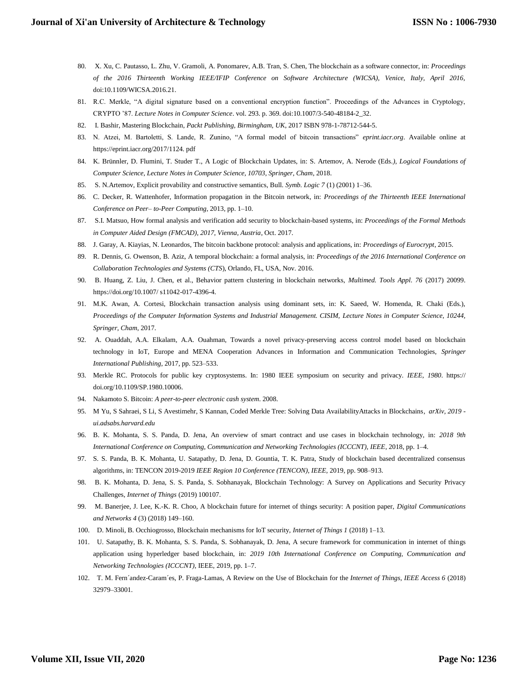- 80. X. Xu, C. Pautasso, L. Zhu, V. Gramoli, A. Ponomarev, A.B. Tran, S. Chen, The blockchain as a software connector, in: *Proceedings of the 2016 Thirteenth Working IEEE/IFIP Conference on Software Architecture (WICSA), Venice, Italy, April 2016,* doi:10.1109/WICSA.2016.21.
- 81. R.C. Merkle, "A digital signature based on a conventional encryption function". Proceedings of the Advances in Cryptology, CRYPTO '87. *Lecture Notes in Computer Science*. vol. 293. p. 369. doi:10.1007/3-540-48184-2\_32.
- 82. I. Bashir, Mastering Blockchain, *Packt Publishing, Birmingham, UK*, 2017 ISBN 978-1-78712-544-5.
- 83. N. Atzei, M. Bartoletti, S. Lande, R. Zunino, "A formal model of bitcoin transactions" *eprint.iacr.org*. Available online at https://eprint.iacr.org/2017/1124. pdf
- 84. K. Brünnler, D. Flumini, T. Studer T., A Logic of Blockchain Updates, in: S. Artemov, A. Nerode (Eds*.), Logical Foundations of Computer Science, Lecture Notes in Computer Science, 10703, Springer, Cham*, 2018.
- 85. S. N.Artemov, Explicit provability and constructive semantics, Bull. *Symb. Logic 7* (1) (2001) 1–36.
- 86. C. Decker, R. Wattenhofer, Information propagation in the Bitcoin network, in: *Proceedings of the Thirteenth IEEE International Conference on Peer– to-Peer Computing*, 2013, pp. 1–10.
- 87. S.I. Matsuo, How formal analysis and verification add security to blockchain-based systems, in: *Proceedings of the Formal Methods in Computer Aided Design (FMCAD), 2017, Vienna, Austria*, Oct. 2017.
- 88. J. Garay, A. Kiayias, N. Leonardos, The bitcoin backbone protocol: analysis and applications, in: *Proceedings of Eurocrypt*, 2015.
- 89. R. Dennis, G. Owenson, B. Aziz, A temporal blockchain: a formal analysis, in: *Proceedings of the 2016 International Conference on Collaboration Technologies and Systems (CTS*), Orlando, FL, USA, Nov. 2016.
- 90. B. Huang, Z. Liu, J. Chen, et al., Behavior pattern clustering in blockchain networks, *Multimed. Tools Appl. 76* (2017) 20099. https://doi.org/10.1007/ s11042-017-4396-4.
- 91. M.K. Awan, A. Cortesi, Blockchain transaction analysis using dominant sets, in: K. Saeed, W. Homenda, R. Chaki (Eds.), *Proceedings of the Computer Information Systems and Industrial Management. CISIM, Lecture Notes in Computer Science, 10244, Springer, Cham*, 2017.
- 92. A. Ouaddah, A.A. Elkalam, A.A. Ouahman, Towards a novel privacy-preserving access control model based on blockchain technology in IoT, Europe and MENA Cooperation Advances in Information and Communication Technologies, *Springer International Publishing*, 2017, pp. 523–533.
- 93. Merkle RC. Protocols for public key cryptosystems. In: 1980 IEEE symposium on security and privacy. *IEEE, 1980*. https:// doi.org/10.1109/SP.1980.10006.
- 94. Nakamoto S. Bitcoin: *A peer-to-peer electronic cash system*. 2008.
- 95. M Yu, S Sahraei, S Li, S Avestimehr, S Kannan, Coded Merkle Tree: Solving Data AvailabilityAttacks in Blockchains*, arXiv, 2019 ui.adsabs.harvard.edu*
- 96. B. K. Mohanta, S. S. Panda, D. Jena, An overview of smart contract and use cases in blockchain technology, in: *2018 9th International Conference on Computing, Communication and Networking Technologies (ICCCNT), IEEE*, 2018, pp. 1–4.
- 97. S. S. Panda, B. K. Mohanta, U. Satapathy, D. Jena, D. Gountia, T. K. Patra, Study of blockchain based decentralized consensus algorithms, in: TENCON 2019-2019 *IEEE Region 10 Conference (TENCON), IEEE,* 2019, pp. 908–913.
- 98. B. K. Mohanta, D. Jena, S. S. Panda, S. Sobhanayak, Blockchain Technology: A Survey on Applications and Security Privacy Challenges, *Internet of Things* (2019) 100107.
- 99. M. Banerjee, J. Lee, K.-K. R. Choo, A blockchain future for internet of things security: A position paper, *Digital Communications and Networks 4* (3) (2018) 149–160.
- 100. D. Minoli, B. Occhiogrosso, Blockchain mechanisms for IoT security, *Internet of Things 1* (2018) 1–13.
- 101. U. Satapathy, B. K. Mohanta, S. S. Panda, S. Sobhanayak, D. Jena, A secure framework for communication in internet of things application using hyperledger based blockchain, in: *2019 10th International Conference on Computing, Communication and Networking Technologies (ICCCNT),* IEEE, 2019, pp. 1–7.
- 102. T. M. Fern´andez-Caram´es, P. Fraga-Lamas, A Review on the Use of Blockchain for the *Internet of Things, IEEE Access 6* (2018) 32979–33001.